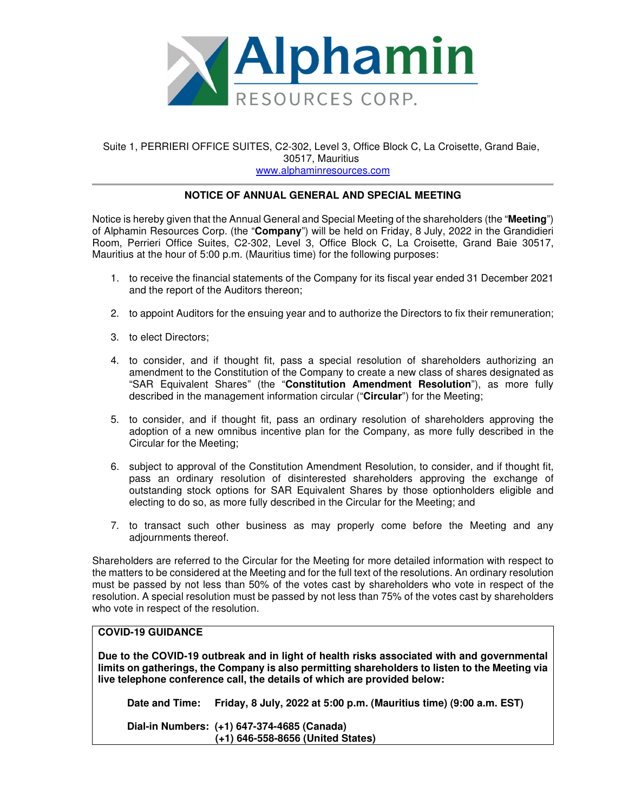

## Suite 1, PERRIERI OFFICE SUITES, C2-302, Level 3, Office Block C, La Croisette, Grand Baie, 30517, Mauritius www.alphaminresources.com

## **NOTICE OF ANNUAL GENERAL AND SPECIAL MEETING**

Notice is hereby given that the Annual General and Special Meeting of the shareholders (the "**Meeting**") of Alphamin Resources Corp. (the "**Company**") will be held on Friday, 8 July, 2022 in the Grandidieri Room, Perrieri Office Suites, C2-302, Level 3, Office Block C, La Croisette, Grand Baie 30517, Mauritius at the hour of 5:00 p.m. (Mauritius time) for the following purposes:

- 1. to receive the financial statements of the Company for its fiscal year ended 31 December 2021 and the report of the Auditors thereon;
- 2. to appoint Auditors for the ensuing year and to authorize the Directors to fix their remuneration;
- 3. to elect Directors;
- 4. to consider, and if thought fit, pass a special resolution of shareholders authorizing an amendment to the Constitution of the Company to create a new class of shares designated as "SAR Equivalent Shares" (the "**Constitution Amendment Resolution**"), as more fully described in the management information circular ("**Circular**") for the Meeting;
- 5. to consider, and if thought fit, pass an ordinary resolution of shareholders approving the adoption of a new omnibus incentive plan for the Company, as more fully described in the Circular for the Meeting;
- 6. subject to approval of the Constitution Amendment Resolution, to consider, and if thought fit, pass an ordinary resolution of disinterested shareholders approving the exchange of outstanding stock options for SAR Equivalent Shares by those optionholders eligible and electing to do so, as more fully described in the Circular for the Meeting; and
- 7. to transact such other business as may properly come before the Meeting and any adjournments thereof.

Shareholders are referred to the Circular for the Meeting for more detailed information with respect to the matters to be considered at the Meeting and for the full text of the resolutions. An ordinary resolution must be passed by not less than 50% of the votes cast by shareholders who vote in respect of the resolution. A special resolution must be passed by not less than 75% of the votes cast by shareholders who vote in respect of the resolution.

## **COVID-19 GUIDANCE**

**Due to the COVID-19 outbreak and in light of health risks associated with and governmental limits on gatherings, the Company is also permitting shareholders to listen to the Meeting via live telephone conference call, the details of which are provided below:** 

**Date and Time: Friday, 8 July, 2022 at 5:00 p.m. (Mauritius time) (9:00 a.m. EST)** 

**Dial-in Numbers: (+1) 647-374-4685 (Canada) (+1) 646-558-8656 (United States)**